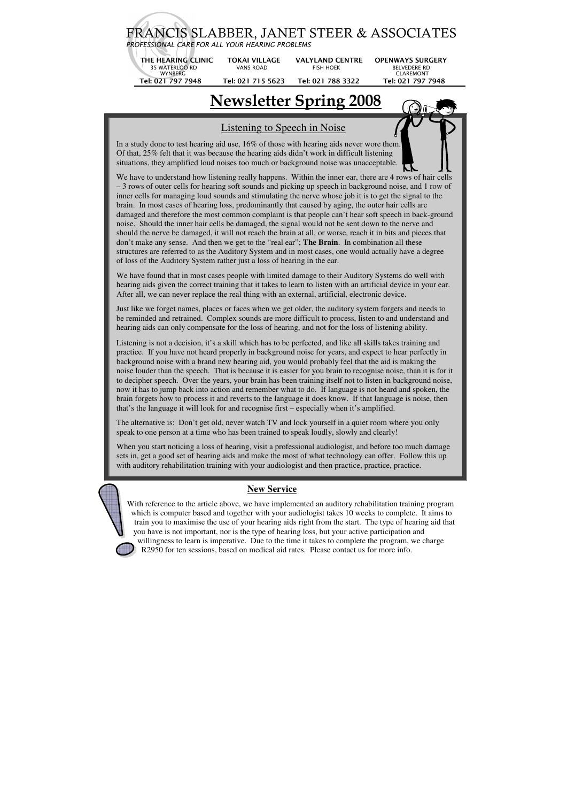# FRANCIS SLABBER, JANET STEER & ASSOCIATES *PROFESSIONAL CARE FOR ALL YOUR HEARING PROBLEMS*

35 WATERLOO RD VANS ROAD FISH HOEK BELVEDERE RD

WYNBERG CLAREMONT

**THE HEARING CLINIC TOKAI VILLAGE VALYLAND CENTRE OPENWAYS SURGERY Tel: 021 797 7948 Tel: 021 715 5623 Tel: 021 788 3322 Tel: 021 797 7948**

٦

# **Newsletter Spring 2008**

 Listening to Speech in Noise In a study done to test hearing aid use, 16% of those with hearing aids never wore them. Of that, 25% felt that it was because the hearing aids didn't work in difficult listening situations, they amplified loud noises too much or background noise was unacceptable. We have to understand how listening really happens. Within the inner ear, there are 4 rows of hair cells – 3 rows of outer cells for hearing soft sounds and picking up speech in background noise, and 1 row of inner cells for managing loud sounds and stimulating the nerve whose job it is to get the signal to the brain. In most cases of hearing loss, predominantly that caused by aging, the outer hair cells are damaged and therefore the most common complaint is that people can't hear soft speech in back-ground

noise. Should the inner hair cells be damaged, the signal would not be sent down to the nerve and should the nerve be damaged, it will not reach the brain at all, or worse, reach it in bits and pieces that don't make any sense. And then we get to the "real ear"; **The Brain**. In combination all these structures are referred to as the Auditory System and in most cases, one would actually have a degree of loss of the Auditory System rather just a loss of hearing in the ear.

We have found that in most cases people with limited damage to their Auditory Systems do well with hearing aids given the correct training that it takes to learn to listen with an artificial device in your ear. After all, we can never replace the real thing with an external, artificial, electronic device.

Just like we forget names, places or faces when we get older, the auditory system forgets and needs to be reminded and retrained. Complex sounds are more difficult to process, listen to and understand and hearing aids can only compensate for the loss of hearing, and not for the loss of listening ability.

Listening is not a decision, it's a skill which has to be perfected, and like all skills takes training and practice. If you have not heard properly in background noise for years, and expect to hear perfectly in background noise with a brand new hearing aid, you would probably feel that the aid is making the noise louder than the speech. That is because it is easier for you brain to recognise noise, than it is for it to decipher speech. Over the years, your brain has been training itself not to listen in background noise, now it has to jump back into action and remember what to do. If language is not heard and spoken, the brain forgets how to process it and reverts to the language it does know. If that language is noise, then that's the language it will look for and recognise first – especially when it's amplified.

The alternative is: Don't get old, never watch TV and lock yourself in a quiet room where you only speak to one person at a time who has been trained to speak loudly, slowly and clearly!

When you start noticing a loss of hearing, visit a professional audiologist, and before too much damage sets in, get a good set of hearing aids and make the most of what technology can offer. Follow this up with auditory rehabilitation training with your audiologist and then practice, practice, practice.

#### **New Service**

With reference to the article above, we have implemented an auditory rehabilitation training program which is computer based and together with your audiologist takes 10 weeks to complete. It aims to train you to maximise the use of your hearing aids right from the start. The type of hearing aid that you have is not important, nor is the type of hearing loss, but your active participation and willingness to learn is imperative. Due to the time it takes to complete the program, we charge R2950 for ten sessions, based on medical aid rates. Please contact us for more info.